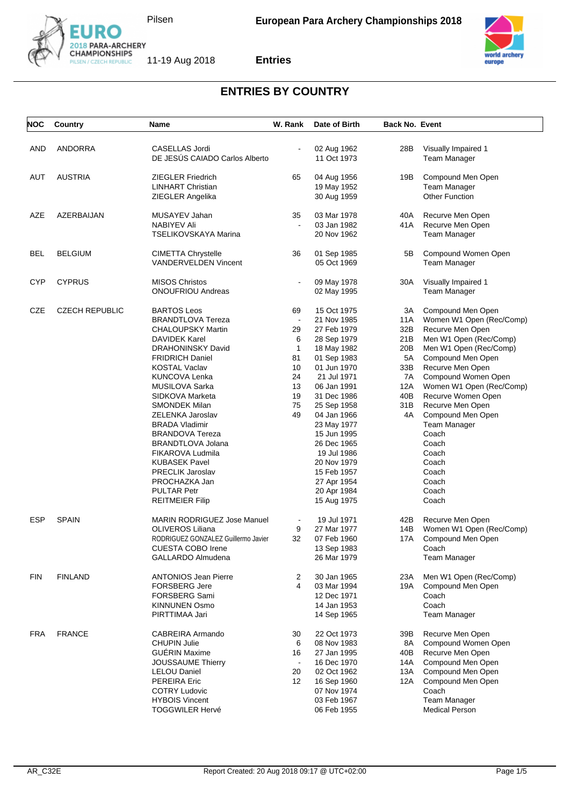





| <b>NOC</b> | Country               | Name                                             | W. Rank        | Date of Birth              | <b>Back No. Event</b> |                                              |
|------------|-----------------------|--------------------------------------------------|----------------|----------------------------|-----------------------|----------------------------------------------|
|            |                       |                                                  |                |                            |                       |                                              |
| AND        | <b>ANDORRA</b>        | CASELLAS Jordi<br>DE JESÚS CAIADO Carlos Alberto |                | 02 Aug 1962<br>11 Oct 1973 | 28B                   | Visually Impaired 1<br>Team Manager          |
|            |                       |                                                  |                |                            |                       |                                              |
| AUT        | <b>AUSTRIA</b>        | <b>ZIEGLER Friedrich</b>                         | 65             | 04 Aug 1956                | 19B                   | Compound Men Open                            |
|            |                       | <b>LINHART Christian</b>                         |                | 19 May 1952                |                       | <b>Team Manager</b>                          |
|            |                       | ZIEGLER Angelika                                 |                | 30 Aug 1959                |                       | <b>Other Function</b>                        |
| AZE        | AZERBAIJAN            | MUSAYEV Jahan                                    | 35             | 03 Mar 1978                | 40A                   | Recurve Men Open                             |
|            |                       | <b>NABIYEV Ali</b>                               |                | 03 Jan 1982                | 41 A                  | Recurve Men Open                             |
|            |                       | <b>TSELIKOVSKAYA Marina</b>                      |                | 20 Nov 1962                |                       | Team Manager                                 |
| BEL        | <b>BELGIUM</b>        | <b>CIMETTA Chrystelle</b>                        | 36             | 01 Sep 1985                | 5В                    | Compound Women Open                          |
|            |                       | <b>VANDERVELDEN Vincent</b>                      |                | 05 Oct 1969                |                       | <b>Team Manager</b>                          |
| <b>CYP</b> | <b>CYPRUS</b>         | <b>MISOS Christos</b>                            | $\blacksquare$ | 09 May 1978                | 30A                   | Visually Impaired 1                          |
|            |                       | <b>ONOUFRIOU Andreas</b>                         |                |                            |                       | <b>Team Manager</b>                          |
|            |                       |                                                  |                | 02 May 1995                |                       |                                              |
| CZE        | <b>CZECH REPUBLIC</b> | <b>BARTOS Leos</b>                               | 69             | 15 Oct 1975                | ЗΑ                    | Compound Men Open                            |
|            |                       | <b>BRANDTLOVA Tereza</b>                         | $\blacksquare$ | 21 Nov 1985                | 11A                   | Women W1 Open (Rec/Comp)                     |
|            |                       | <b>CHALOUPSKY Martin</b>                         | 29             | 27 Feb 1979                | 32B                   | Recurve Men Open                             |
|            |                       | <b>DAVIDEK Karel</b>                             | 6              | 28 Sep 1979                | 21B                   | Men W1 Open (Rec/Comp)                       |
|            |                       | <b>DRAHONINSKY David</b>                         | 1              | 18 May 1982                | 20B                   | Men W1 Open (Rec/Comp)                       |
|            |                       | <b>FRIDRICH Daniel</b>                           | 81             | 01 Sep 1983                | 5A                    | Compound Men Open                            |
|            |                       | <b>KOSTAL Vaclav</b>                             | 10             | 01 Jun 1970                | 33B                   | Recurve Men Open                             |
|            |                       | <b>KUNCOVA Lenka</b>                             | 24             | 21 Jul 1971                | 7A                    | Compound Women Open                          |
|            |                       | MUSILOVA Sarka                                   | 13             | 06 Jan 1991                | 12A                   | Women W1 Open (Rec/Comp)                     |
|            |                       | SIDKOVA Marketa                                  | 19             | 31 Dec 1986                | 40B                   | Recurve Women Open                           |
|            |                       | <b>SMONDEK Milan</b>                             | 75<br>49       | 25 Sep 1958                | 31B<br>4A             | Recurve Men Open                             |
|            |                       | ZELENKA Jaroslav<br><b>BRADA Vladimir</b>        |                | 04 Jan 1966<br>23 May 1977 |                       | Compound Men Open<br>Team Manager            |
|            |                       | <b>BRANDOVA Tereza</b>                           |                | 15 Jun 1995                |                       | Coach                                        |
|            |                       | <b>BRANDTLOVA Jolana</b>                         |                | 26 Dec 1965                |                       | Coach                                        |
|            |                       | FIKAROVA Ludmila                                 |                | 19 Jul 1986                |                       | Coach                                        |
|            |                       | <b>KUBASEK Pavel</b>                             |                | 20 Nov 1979                |                       | Coach                                        |
|            |                       | <b>PRECLIK Jaroslav</b>                          |                | 15 Feb 1957                |                       | Coach                                        |
|            |                       | PROCHAZKA Jan                                    |                | 27 Apr 1954                |                       | Coach                                        |
|            |                       | <b>PULTAR Petr</b>                               |                | 20 Apr 1984                |                       | Coach                                        |
|            |                       | <b>REITMEIER Filip</b>                           |                | 15 Aug 1975                |                       | Coach                                        |
| <b>ESP</b> | <b>SPAIN</b>          | <b>MARIN RODRIGUEZ Jose Manuel</b>               |                | 19 Jul 1971                |                       |                                              |
|            |                       | OLIVEROS Liliana                                 | 9              | 27 Mar 1977                | 42B<br>14B            | Recurve Men Open<br>Women W1 Open (Rec/Comp) |
|            |                       | RODRIGUEZ GONZALEZ Guillermo Javier              | 32             | 07 Feb 1960                | 17A                   | Compound Men Open                            |
|            |                       | <b>CUESTA COBO Irene</b>                         |                | 13 Sep 1983                |                       | Coach                                        |
|            |                       | GALLARDO Almudena                                |                | 26 Mar 1979                |                       | <b>Team Manager</b>                          |
|            |                       |                                                  |                |                            |                       |                                              |
| <b>FIN</b> | <b>FINLAND</b>        | <b>ANTONIOS Jean Pierre</b>                      | 2<br>4         | 30 Jan 1965                | 23A                   | Men W1 Open (Rec/Comp)                       |
|            |                       | <b>FORSBERG Jere</b>                             |                | 03 Mar 1994                | 19A                   | Compound Men Open                            |
|            |                       | FORSBERG Sami                                    |                | 12 Dec 1971                |                       | Coach<br>Coach                               |
|            |                       | <b>KINNUNEN Osmo</b><br>PIRTTIMAA Jari           |                | 14 Jan 1953                |                       |                                              |
|            |                       |                                                  |                | 14 Sep 1965                |                       | Team Manager                                 |
| <b>FRA</b> | <b>FRANCE</b>         | CABREIRA Armando                                 | 30             | 22 Oct 1973                | 39B                   | Recurve Men Open                             |
|            |                       | <b>CHUPIN Julie</b>                              | 6              | 08 Nov 1983                | 8A                    | Compound Women Open                          |
|            |                       | <b>GUERIN Maxime</b>                             | 16             | 27 Jan 1995                | 40B                   | Recurve Men Open                             |
|            |                       | JOUSSAUME Thierry                                |                | 16 Dec 1970                | 14A                   | Compound Men Open                            |
|            |                       | <b>LELOU Daniel</b>                              | 20             | 02 Oct 1962                | 13A                   | Compound Men Open                            |
|            |                       | <b>PEREIRA Eric</b>                              | 12             | 16 Sep 1960                | 12A                   | Compound Men Open                            |
|            |                       | <b>COTRY Ludovic</b>                             |                | 07 Nov 1974                |                       | Coach                                        |
|            |                       | <b>HYBOIS Vincent</b>                            |                | 03 Feb 1967                |                       | Team Manager                                 |
|            |                       | <b>TOGGWILER Hervé</b>                           |                | 06 Feb 1955                |                       | <b>Medical Person</b>                        |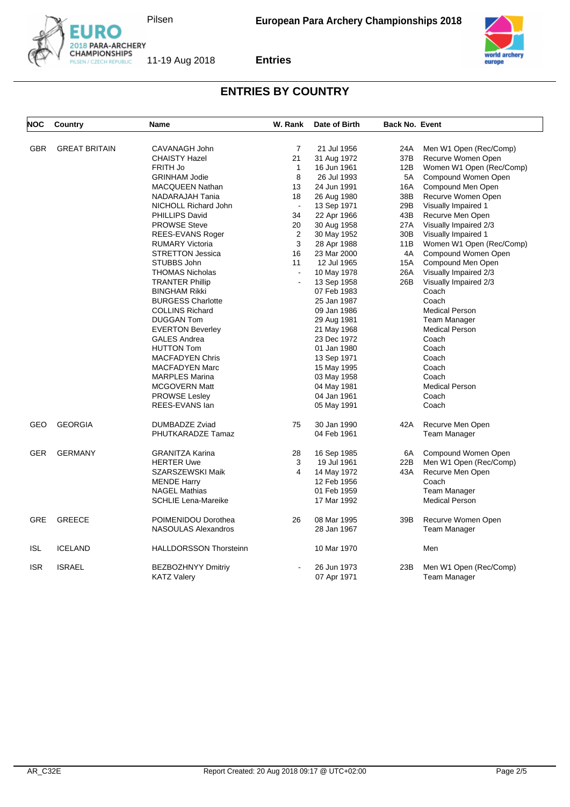





| <b>NOC</b> | Country              | <b>Name</b>                   | W. Rank        | Date of Birth | <b>Back No. Event</b> |                          |
|------------|----------------------|-------------------------------|----------------|---------------|-----------------------|--------------------------|
| <b>GBR</b> | <b>GREAT BRITAIN</b> | CAVANAGH John                 | $\overline{7}$ | 21 Jul 1956   | 24A                   | Men W1 Open (Rec/Comp)   |
|            |                      | <b>CHAISTY Hazel</b>          | 21             | 31 Aug 1972   | 37B                   | Recurve Women Open       |
|            |                      | FRITH Jo                      | $\mathbf{1}$   | 16 Jun 1961   | 12B                   | Women W1 Open (Rec/Comp) |
|            |                      | <b>GRINHAM Jodie</b>          | 8              | 26 Jul 1993   | 5A                    | Compound Women Open      |
|            |                      | <b>MACQUEEN Nathan</b>        | 13             | 24 Jun 1991   | 16A                   | Compound Men Open        |
|            |                      | NADARAJAH Tania               | 18             | 26 Aug 1980   | 38B                   | Recurve Women Open       |
|            |                      | NICHOLL Richard John          | $\mathbf{r}$   | 13 Sep 1971   | 29B                   | Visually Impaired 1      |
|            |                      | PHILLIPS David                | 34             | 22 Apr 1966   | 43B                   | Recurve Men Open         |
|            |                      | <b>PROWSE Steve</b>           | 20             | 30 Aug 1958   | 27A                   | Visually Impaired 2/3    |
|            |                      | REES-EVANS Roger              | 2              | 30 May 1952   | 30 <sub>B</sub>       | Visually Impaired 1      |
|            |                      | <b>RUMARY Victoria</b>        | 3              | 28 Apr 1988   | 11B                   | Women W1 Open (Rec/Comp) |
|            |                      | <b>STRETTON Jessica</b>       | 16             | 23 Mar 2000   | 4A                    | Compound Women Open      |
|            |                      | STUBBS John                   | 11             | 12 Jul 1965   | 15A                   | Compound Men Open        |
|            |                      | <b>THOMAS Nicholas</b>        |                | 10 May 1978   | 26A                   | Visually Impaired 2/3    |
|            |                      | <b>TRANTER Phillip</b>        | L.             | 13 Sep 1958   | 26B                   | Visually Impaired 2/3    |
|            |                      | <b>BINGHAM Rikki</b>          |                | 07 Feb 1983   |                       | Coach                    |
|            |                      | <b>BURGESS Charlotte</b>      |                | 25 Jan 1987   |                       | Coach                    |
|            |                      | <b>COLLINS Richard</b>        |                | 09 Jan 1986   |                       | <b>Medical Person</b>    |
|            |                      | <b>DUGGAN Tom</b>             |                | 29 Aug 1981   |                       | <b>Team Manager</b>      |
|            |                      | <b>EVERTON Beverley</b>       |                | 21 May 1968   |                       | <b>Medical Person</b>    |
|            |                      | <b>GALES Andrea</b>           |                | 23 Dec 1972   |                       | Coach                    |
|            |                      | <b>HUTTON Tom</b>             |                | 01 Jan 1980   |                       | Coach                    |
|            |                      | <b>MACFADYEN Chris</b>        |                | 13 Sep 1971   |                       | Coach                    |
|            |                      | <b>MACFADYEN Marc</b>         |                | 15 May 1995   |                       | Coach                    |
|            |                      | <b>MARPLES Marina</b>         |                | 03 May 1958   |                       | Coach                    |
|            |                      | <b>MCGOVERN Matt</b>          |                | 04 May 1981   |                       | <b>Medical Person</b>    |
|            |                      | <b>PROWSE Lesley</b>          |                | 04 Jan 1961   |                       | Coach                    |
|            |                      | REES-EVANS lan                |                | 05 May 1991   |                       | Coach                    |
| GEO        | <b>GEORGIA</b>       | DUMBADZE Zviad                | 75             | 30 Jan 1990   | 42A                   | Recurve Men Open         |
|            |                      | PHUTKARADZE Tamaz             |                | 04 Feb 1961   |                       | <b>Team Manager</b>      |
| <b>GER</b> | <b>GERMANY</b>       | <b>GRANITZA Karina</b>        | 28             | 16 Sep 1985   | 6A                    | Compound Women Open      |
|            |                      | <b>HERTER Uwe</b>             | 3              | 19 Jul 1961   | 22B                   | Men W1 Open (Rec/Comp)   |
|            |                      | SZARSZEWSKI Maik              | 4              | 14 May 1972   | 43A                   | Recurve Men Open         |
|            |                      | <b>MENDE Harry</b>            |                | 12 Feb 1956   |                       | Coach                    |
|            |                      | <b>NAGEL Mathias</b>          |                | 01 Feb 1959   |                       | <b>Team Manager</b>      |
|            |                      | <b>SCHLIE Lena-Mareike</b>    |                | 17 Mar 1992   |                       | <b>Medical Person</b>    |
| GRE        | <b>GREECE</b>        | POIMENIDOU Dorothea           | 26             | 08 Mar 1995   | 39B                   | Recurve Women Open       |
|            |                      | <b>NASOULAS Alexandros</b>    |                | 28 Jan 1967   |                       | <b>Team Manager</b>      |
| ISL        | <b>ICELAND</b>       | <b>HALLDORSSON Thorsteinn</b> |                | 10 Mar 1970   |                       | Men                      |
| <b>ISR</b> | <b>ISRAEL</b>        | <b>BEZBOZHNYY Dmitriy</b>     |                | 26 Jun 1973   | 23B                   | Men W1 Open (Rec/Comp)   |
|            |                      | <b>KATZ Valery</b>            |                | 07 Apr 1971   |                       | Team Manager             |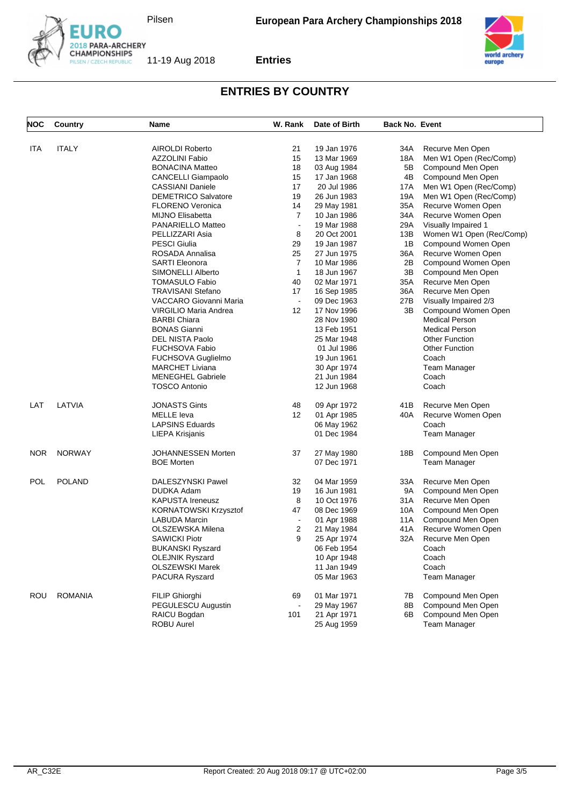





| NOC        | Country        | Name                         | W. Rank                  | Date of Birth | <b>Back No. Event</b> |                          |
|------------|----------------|------------------------------|--------------------------|---------------|-----------------------|--------------------------|
| ITA        | <b>ITALY</b>   | AIROLDI Roberto              | 21                       | 19 Jan 1976   | 34A                   | Recurve Men Open         |
|            |                | <b>AZZOLINI Fabio</b>        | 15                       | 13 Mar 1969   | 18A                   | Men W1 Open (Rec/Comp)   |
|            |                | <b>BONACINA Matteo</b>       | 18                       | 03 Aug 1984   | 5B                    | Compound Men Open        |
|            |                | <b>CANCELLI Giampaolo</b>    | 15                       | 17 Jan 1968   | 4Β                    | Compound Men Open        |
|            |                | <b>CASSIANI Daniele</b>      | 17                       | 20 Jul 1986   | 17A                   | Men W1 Open (Rec/Comp)   |
|            |                | <b>DEMETRICO Salvatore</b>   | 19                       | 26 Jun 1983   | 19A                   | Men W1 Open (Rec/Comp)   |
|            |                | <b>FLORENO Veronica</b>      | 14                       | 29 May 1981   | 35A                   | Recurve Women Open       |
|            |                | <b>MIJNO Elisabetta</b>      | $\overline{7}$           | 10 Jan 1986   | 34A                   | Recurve Women Open       |
|            |                | PANARIELLO Matteo            | $\blacksquare$           | 19 Mar 1988   | 29A                   | Visually Impaired 1      |
|            |                | PELLIZZARI Asia              | 8                        | 20 Oct 2001   | 13B                   | Women W1 Open (Rec/Comp) |
|            |                | <b>PESCI Giulia</b>          | 29                       | 19 Jan 1987   | 1B                    | Compound Women Open      |
|            |                | ROSADA Annalisa              | 25                       | 27 Jun 1975   | 36A                   | Recurve Women Open       |
|            |                | <b>SARTI Eleonora</b>        | 7                        | 10 Mar 1986   | 2Β                    | Compound Women Open      |
|            |                | <b>SIMONELLI Alberto</b>     | $\mathbf{1}$             | 18 Jun 1967   | 3B                    | Compound Men Open        |
|            |                | <b>TOMASULO Fabio</b>        | 40                       | 02 Mar 1971   | 35A                   | Recurve Men Open         |
|            |                | <b>TRAVISANI Stefano</b>     | 17                       | 16 Sep 1985   | 36A                   | Recurve Men Open         |
|            |                | VACCARO Giovanni Maria       |                          | 09 Dec 1963   | 27B                   | Visually Impaired 2/3    |
|            |                | VIRGILIO Maria Andrea        | $12 \overline{ }$        | 17 Nov 1996   | 3В                    | Compound Women Open      |
|            |                | <b>BARBI Chiara</b>          |                          | 28 Nov 1980   |                       | <b>Medical Person</b>    |
|            |                | <b>BONAS Gianni</b>          |                          | 13 Feb 1951   |                       | <b>Medical Person</b>    |
|            |                | <b>DEL NISTA Paolo</b>       |                          | 25 Mar 1948   |                       | <b>Other Function</b>    |
|            |                | <b>FUCHSOVA Fabio</b>        |                          | 01 Jul 1986   |                       | <b>Other Function</b>    |
|            |                | FUCHSOVA Guglielmo           |                          | 19 Jun 1961   |                       | Coach                    |
|            |                | <b>MARCHET Liviana</b>       |                          | 30 Apr 1974   |                       | <b>Team Manager</b>      |
|            |                | <b>MENEGHEL Gabriele</b>     |                          | 21 Jun 1984   |                       | Coach                    |
|            |                | <b>TOSCO Antonio</b>         |                          | 12 Jun 1968   |                       | Coach                    |
| LAT        | LATVIA         | <b>JONASTS Gints</b>         | 48                       | 09 Apr 1972   | 41 B                  | Recurve Men Open         |
|            |                | <b>MELLE</b> leva            | 12                       | 01 Apr 1985   | 40A                   | Recurve Women Open       |
|            |                | <b>LAPSINS Eduards</b>       |                          | 06 May 1962   |                       | Coach                    |
|            |                | <b>LIEPA Krisjanis</b>       |                          | 01 Dec 1984   |                       | Team Manager             |
| <b>NOR</b> | <b>NORWAY</b>  | JOHANNESSEN Morten           | 37                       | 27 May 1980   | 18B                   | Compound Men Open        |
|            |                | <b>BOE Morten</b>            |                          | 07 Dec 1971   |                       | Team Manager             |
| POL        | <b>POLAND</b>  | DALESZYNSKI Pawel            | 32                       | 04 Mar 1959   | 33A                   | Recurve Men Open         |
|            |                | DUDKA Adam                   | 19                       | 16 Jun 1981   | 9A                    | Compound Men Open        |
|            |                | <b>KAPUSTA Ireneusz</b>      | 8                        | 10 Oct 1976   | 31A                   | Recurve Men Open         |
|            |                | <b>KORNATOWSKI Krzysztof</b> | 47                       | 08 Dec 1969   | 10A                   | Compound Men Open        |
|            |                | <b>LABUDA Marcin</b>         | $\overline{\phantom{a}}$ | 01 Apr 1988   | 11A                   | Compound Men Open        |
|            |                | OLSZEWSKA Milena             | $\overline{2}$           | 21 May 1984   | 41 A                  | Recurve Women Open       |
|            |                | <b>SAWICKI Piotr</b>         | 9                        | 25 Apr 1974   | 32A                   | Recurve Men Open         |
|            |                | <b>BUKANSKI Ryszard</b>      |                          | 06 Feb 1954   |                       | Coach                    |
|            |                | <b>OLEJNIK Ryszard</b>       |                          | 10 Apr 1948   |                       | Coach                    |
|            |                | <b>OLSZEWSKI Marek</b>       |                          | 11 Jan 1949   |                       | Coach                    |
|            |                | <b>PACURA Ryszard</b>        |                          | 05 Mar 1963   |                       | Team Manager             |
| ROU        | <b>ROMANIA</b> | FILIP Ghiorghi               | 69                       | 01 Mar 1971   | 7В                    | Compound Men Open        |
|            |                | PEGULESCU Augustin           |                          | 29 May 1967   | 8Β                    | Compound Men Open        |
|            |                | RAICU Bogdan                 | 101                      | 21 Apr 1971   | 6B                    | Compound Men Open        |
|            |                | ROBU Aurel                   |                          | 25 Aug 1959   |                       | <b>Team Manager</b>      |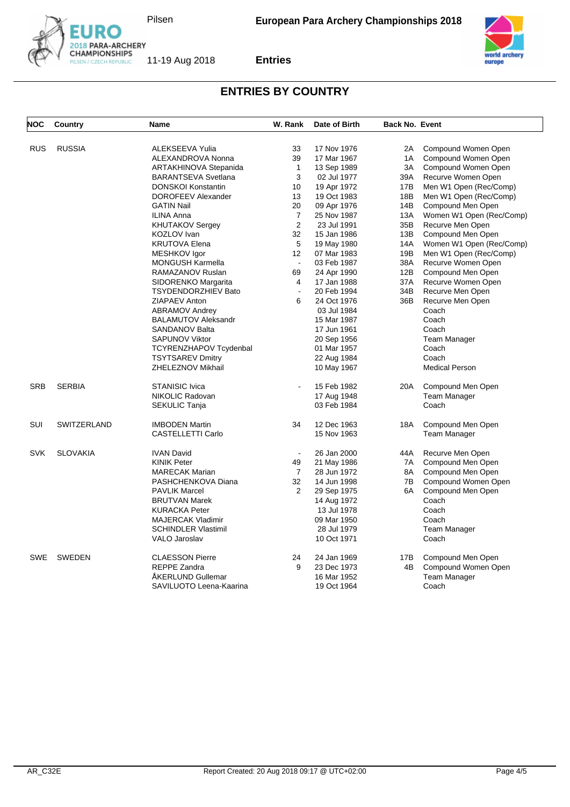





| NOC        | Country         | <b>Name</b>                  | W. Rank                  | Date of Birth | <b>Back No. Event</b> |                          |
|------------|-----------------|------------------------------|--------------------------|---------------|-----------------------|--------------------------|
|            | <b>RUSSIA</b>   | ALEKSEEVA Yulia              | 33                       | 17 Nov 1976   | 2A                    | Compound Women Open      |
| RUS        |                 | ALEXANDROVA Nonna            | 39                       | 17 Mar 1967   | 1A                    | Compound Women Open      |
|            |                 | <b>ARTAKHINOVA Stepanida</b> | $\mathbf{1}$             | 13 Sep 1989   | 3A                    | Compound Women Open      |
|            |                 | <b>BARANTSEVA Svetlana</b>   | 3                        | 02 Jul 1977   | 39A                   | Recurve Women Open       |
|            |                 | <b>DONSKOI Konstantin</b>    | 10                       | 19 Apr 1972   | 17B                   | Men W1 Open (Rec/Comp)   |
|            |                 | DOROFEEV Alexander           | 13                       | 19 Oct 1983   | 18B                   | Men W1 Open (Rec/Comp)   |
|            |                 | <b>GATIN Nail</b>            | 20                       | 09 Apr 1976   | 14B                   | Compound Men Open        |
|            |                 | <b>ILINA Anna</b>            | 7                        | 25 Nov 1987   | 13A                   | Women W1 Open (Rec/Comp) |
|            |                 | <b>KHUTAKOV Sergey</b>       | $\overline{2}$           | 23 Jul 1991   | 35B                   | Recurve Men Open         |
|            |                 | <b>KOZLOV</b> Ivan           | 32                       | 15 Jan 1986   | 13B                   | Compound Men Open        |
|            |                 | <b>KRUTOVA Elena</b>         | 5                        | 19 May 1980   | 14A                   | Women W1 Open (Rec/Comp) |
|            |                 | MESHKOV Igor                 | 12                       | 07 Mar 1983   | 19B                   | Men W1 Open (Rec/Comp)   |
|            |                 | <b>MONGUSH Karmella</b>      | $\blacksquare$           | 03 Feb 1987   | 38A                   | Recurve Women Open       |
|            |                 | RAMAZANOV Ruslan             | 69                       | 24 Apr 1990   | 12B                   | Compound Men Open        |
|            |                 | SIDORENKO Margarita          | 4                        | 17 Jan 1988   | 37A                   | Recurve Women Open       |
|            |                 | <b>TSYDENDORZHIEV Bato</b>   | $\overline{\phantom{a}}$ | 20 Feb 1994   | 34B                   | Recurve Men Open         |
|            |                 | ZIAPAEV Anton                | 6                        | 24 Oct 1976   | 36B                   | Recurve Men Open         |
|            |                 | ABRAMOV Andrey               |                          | 03 Jul 1984   |                       | Coach                    |
|            |                 | <b>BALAMUTOV Aleksandr</b>   |                          | 15 Mar 1987   |                       | Coach                    |
|            |                 | <b>SANDANOV Balta</b>        |                          | 17 Jun 1961   |                       | Coach                    |
|            |                 | <b>SAPUNOV Viktor</b>        |                          | 20 Sep 1956   |                       | <b>Team Manager</b>      |
|            |                 | TCYRENZHAPOV Tcydenbal       |                          | 01 Mar 1957   |                       | Coach                    |
|            |                 | <b>TSYTSAREV Dmitry</b>      |                          | 22 Aug 1984   |                       | Coach                    |
|            |                 | ZHELEZNOV Mikhail            |                          | 10 May 1967   |                       | <b>Medical Person</b>    |
| <b>SRB</b> | <b>SERBIA</b>   | <b>STANISIC Ivica</b>        | $\overline{a}$           | 15 Feb 1982   | 20A                   | Compound Men Open        |
|            |                 | NIKOLIC Radovan              |                          | 17 Aug 1948   |                       | <b>Team Manager</b>      |
|            |                 | <b>SEKULIC Tanja</b>         |                          | 03 Feb 1984   |                       | Coach                    |
| SUI        | SWITZERLAND     | <b>IMBODEN Martin</b>        | 34                       | 12 Dec 1963   | 18A                   | Compound Men Open        |
|            |                 | CASTELLETTI Carlo            |                          | 15 Nov 1963   |                       | Team Manager             |
| <b>SVK</b> | <b>SLOVAKIA</b> | <b>IVAN David</b>            | $\blacksquare$           | 26 Jan 2000   | 44A                   | Recurve Men Open         |
|            |                 | <b>KINIK Peter</b>           | 49                       | 21 May 1986   | 7A                    | Compound Men Open        |
|            |                 | <b>MARECAK Marian</b>        | $\overline{7}$           | 28 Jun 1972   | 8A                    | Compound Men Open        |
|            |                 | PASHCHENKOVA Diana           | 32                       | 14 Jun 1998   | 7B                    | Compound Women Open      |
|            |                 | <b>PAVLIK Marcel</b>         | $\overline{2}$           | 29 Sep 1975   | 6A                    | Compound Men Open        |
|            |                 | <b>BRUTVAN Marek</b>         |                          | 14 Aug 1972   |                       | Coach                    |
|            |                 | <b>KURACKA Peter</b>         |                          | 13 Jul 1978   |                       | Coach                    |
|            |                 | <b>MAJERCAK Vladimir</b>     |                          | 09 Mar 1950   |                       | Coach                    |
|            |                 | <b>SCHINDLER Vlastimil</b>   |                          | 28 Jul 1979   |                       | <b>Team Manager</b>      |
|            |                 | VALO Jaroslav                |                          | 10 Oct 1971   |                       | Coach                    |
| <b>SWE</b> | <b>SWEDEN</b>   | <b>CLAESSON Pierre</b>       | 24                       | 24 Jan 1969   | 17B                   | Compound Men Open        |
|            |                 | <b>REPPE Zandra</b>          | 9                        | 23 Dec 1973   | 4B                    | Compound Women Open      |
|            |                 | <b>AKERLUND Gullemar</b>     |                          | 16 Mar 1952   |                       | <b>Team Manager</b>      |
|            |                 | SAVILUOTO Leena-Kaarina      |                          | 19 Oct 1964   |                       | Coach                    |